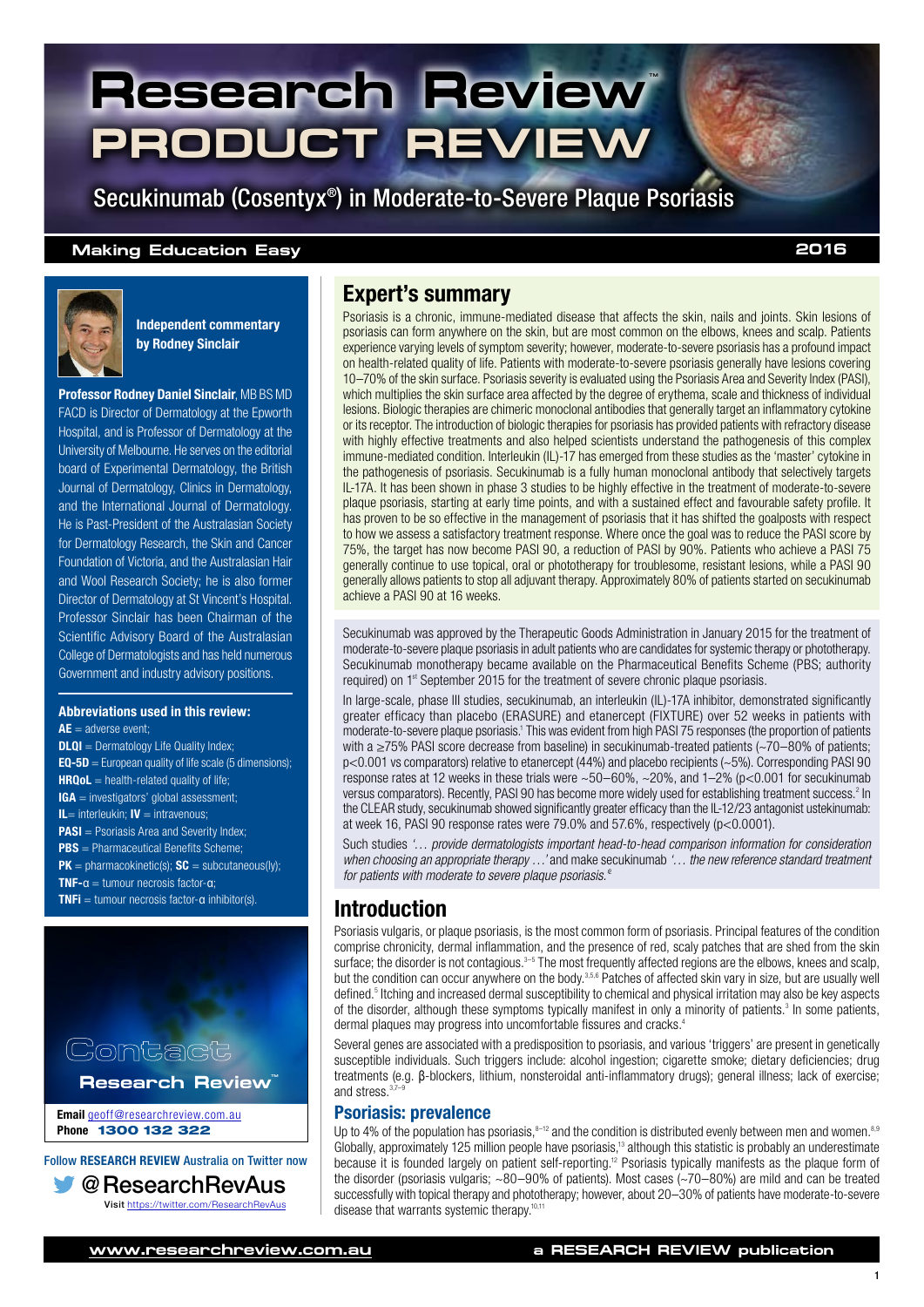# **PRODUCT REVIEW Research Review**

Secukinumab (Cosentyx®) in Moderate-to-Severe Plaque Psoriasis

# **Making Education Easy 2016**



Independent commentary by Rodney Sinclair

Professor Rodney Daniel Sinclair, MB BS MD FACD is Director of Dermatology at the Epworth Hospital, and is Professor of Dermatology at the University of Melbourne. He serves on the editorial board of Experimental Dermatology, the British Journal of Dermatology, Clinics in Dermatology, and the International Journal of Dermatology. He is Past-President of the Australasian Society for Dermatology Research, the Skin and Cancer Foundation of Victoria, and the Australasian Hair and Wool Research Society; he is also former Director of Dermatology at St Vincent's Hospital. Professor Sinclair has been Chairman of the Scientific Advisory Board of the Australasian College of Dermatologists and has held numerous Government and industry advisory positions.

# Abbreviations used in this review:

 $AE =$  adverse event: **DLQI** = Dermatology Life Quality Index;  $EO-5D = Eurobean$  quality of life scale (5 dimensions):  $H R Q o L =$  health-related quality of life; IGA = investigators' global assessment;  $IL=$  interleukin:  $IV =$  intravenous: PASI = Psoriasis Area and Severity Index; PBS = Pharmaceutical Benefits Scheme;  $PK = pharmacokinetic(s); SC = subcutaneous(ly);$ **TNF-** $\alpha$  = tumour necrosis factor- $\alpha$ ; **TNFi** = tumour necrosis factor- $α$  inhibitor(s).



**Research Review** 

Email [geoff@researchreview.com.au](mailto:geoff%40researchreview.com.au?subject=Research%20Review%20Enquiry) Phone [1300 132 322](mailto:geoff%40researchreview.com.au?subject=Research%20Review%20Enquiry)

Follow RESEARCH REVIEW Australia on Twitter now

[@ResearchRevAus](https://twitter.com/ResearchRevAus) Visit https://twitter.com/ResearchRevAus

# Expert's summary

Psoriasis is a chronic, immune-mediated disease that affects the skin, nails and joints. Skin lesions of psoriasis can form anywhere on the skin, but are most common on the elbows, knees and scalp. Patients experience varying levels of symptom severity; however, moderate-to-severe psoriasis has a profound impact on health-related quality of life. Patients with moderate-to-severe psoriasis generally have lesions covering 10–70% of the skin surface. Psoriasis severity is evaluated using the Psoriasis Area and Severity Index (PASI), which multiplies the skin surface area affected by the degree of erythema, scale and thickness of individual lesions. Biologic therapies are chimeric monoclonal antibodies that generally target an inflammatory cytokine or its receptor. The introduction of biologic therapies for psoriasis has provided patients with refractory disease with highly effective treatments and also helped scientists understand the pathogenesis of this complex immune-mediated condition. Interleukin (IL)-17 has emerged from these studies as the 'master' cytokine in the pathogenesis of psoriasis. Secukinumab is a fully human monoclonal antibody that selectively targets IL-17A. It has been shown in phase 3 studies to be highly effective in the treatment of moderate-to-severe plaque psoriasis, starting at early time points, and with a sustained effect and favourable safety profile. It has proven to be so effective in the management of psoriasis that it has shifted the goalposts with respect to how we assess a satisfactory treatment response. Where once the goal was to reduce the PASI score by 75%, the target has now become PASI 90, a reduction of PASI by 90%. Patients who achieve a PASI 75 generally continue to use topical, oral or phototherapy for troublesome, resistant lesions, while a PASI 90 generally allows patients to stop all adjuvant therapy. Approximately 80% of patients started on secukinumab achieve a PASI 90 at 16 weeks.

Secukinumab was approved by the Therapeutic Goods Administration in January 2015 for the treatment of moderate-to-severe plaque psoriasis in adult patients who are candidates for systemic therapy or phototherapy. Secukinumab monotherapy became available on the Pharmaceutical Benefits Scheme (PBS; authority required) on 1<sup>st</sup> September 2015 for the treatment of severe chronic plaque psoriasis.

In large-scale, phase III studies, secukinumab, an interleukin (IL)-17A inhibitor, demonstrated significantly greater efficacy than placebo (ERASURE) and etanercept (FIXTURE) over 52 weeks in patients with moderate-to-severe plaque psoriasis.<sup>1</sup> This was evident from high PASI 75 responses (the proportion of patients with a ≥75% PASI score decrease from baseline) in secukinumab-treated patients (~70–80% of patients; p<0.001 vs comparators) relative to etanercept (44%) and placebo recipients (~5%). Corresponding PASI 90 response rates at 12 weeks in these trials were ~50–60%, ~20%, and 1–2% (p<0.001 for secukinumab versus comparators). Recently, PASI 90 has become more widely used for establishing treatment success.<sup>2</sup> In the CLEAR study, secukinumab showed significantly greater efficacy than the IL-12/23 antagonist ustekinumab: at week 16, PASI 90 response rates were 79.0% and 57.6%, respectively (p<0.0001).

Such studies *'… provide dermatologists important head-to-head comparison information for consideration when choosing an appropriate therapy …'* and make secukinumab *'… the new reference standard treatment for patients with moderate to severe plaque psoriasis.'*<sup>2</sup>

# Introduction

Psoriasis vulgaris, or plaque psoriasis, is the most common form of psoriasis. Principal features of the condition comprise chronicity, dermal inflammation, and the presence of red, scaly patches that are shed from the skin surface; the disorder is not contagious.<sup>3–5</sup> The most frequently affected regions are the elbows, knees and scalp, but the condition can occur anywhere on the body.<sup>3,5,6</sup> Patches of affected skin vary in size, but are usually well defined.<sup>5</sup> Itching and increased dermal susceptibility to chemical and physical irritation may also be key aspects of the disorder, although these symptoms typically manifest in only a minority of patients.<sup>3</sup> In some patients, dermal plaques may progress into uncomfortable fissures and cracks.<sup>4</sup>

Several genes are associated with a predisposition to psoriasis, and various 'triggers' are present in genetically susceptible individuals. Such triggers include: alcohol ingestion; cigarette smoke; dietary deficiencies; drug treatments (e.g. β-blockers, lithium, nonsteroidal anti-inflammatory drugs); general illness; lack of exercise; and stress.<sup>3</sup>

## Psoriasis: prevalence

Up to 4% of the population has psoriasis, $8-12$  and the condition is distributed evenly between men and women. $8.9$ Globally, approximately 125 million people have psoriasis,<sup>13</sup> although this statistic is probably an underestimate because it is founded largely on patient self-reporting.12 Psoriasis typically manifests as the plaque form of the disorder (psoriasis vulgaris; ~80–90% of patients). Most cases (~70–80%) are mild and can be treated successfully with topical therapy and phototherapy; however, about 20–30% of patients have moderate-to-severe disease that warrants systemic therapy.10,11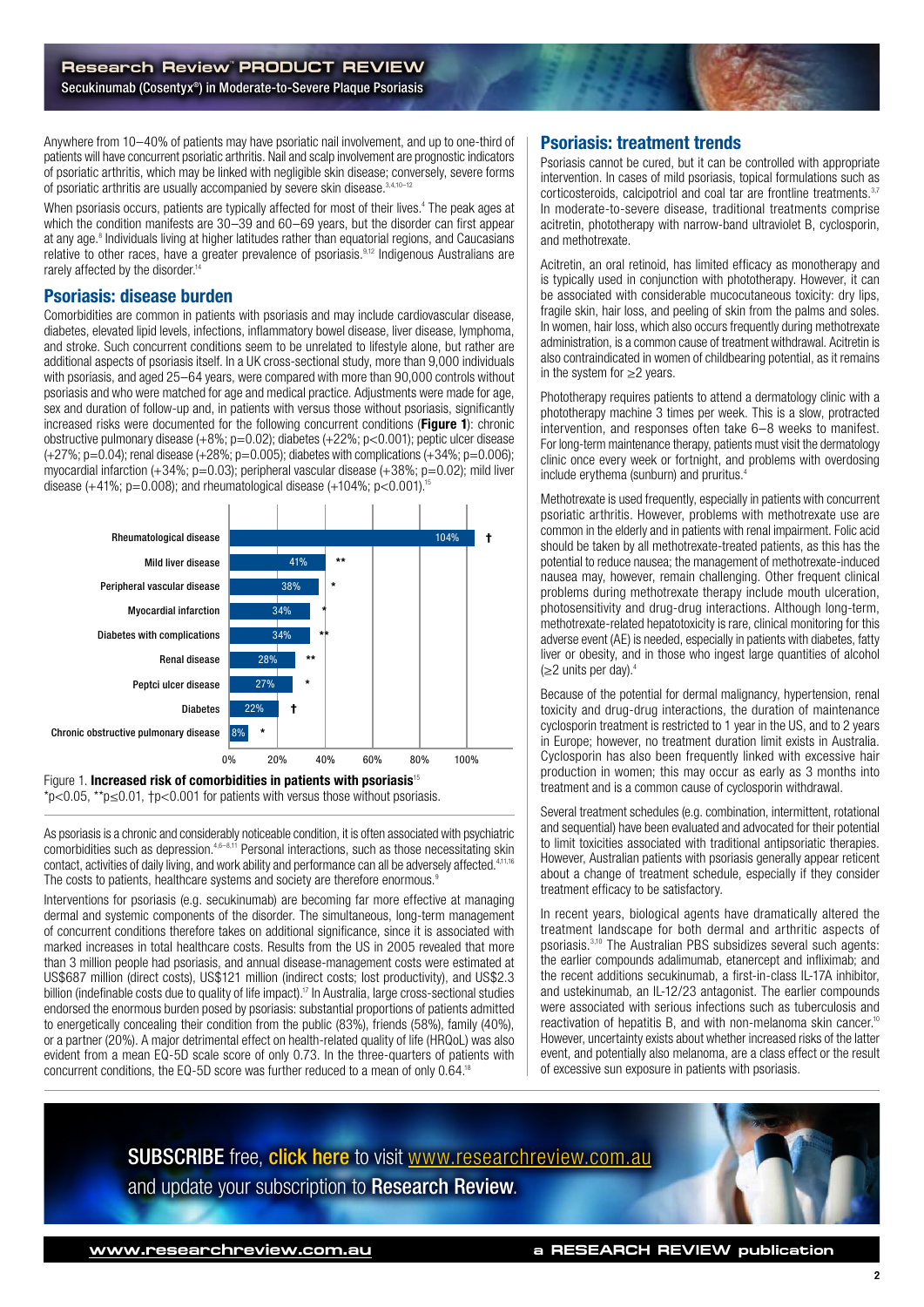Anywhere from 10–40% of patients may have psoriatic nail involvement, and up to one-third of patients will have concurrent psoriatic arthritis. Nail and scalp involvement are prognostic indicators of psoriatic arthritis, which may be linked with negligible skin disease; conversely, severe forms of psoriatic arthritis are usually accompanied by severe skin disease.<sup>3,4,10-12</sup>

When psoriasis occurs, patients are typically affected for most of their lives.<sup>4</sup> The peak ages at which the condition manifests are 30–39 and 60–69 years, but the disorder can first appear at any age.<sup>8</sup> Individuals living at higher latitudes rather than equatorial regions, and Caucasians relative to other races, have a greater prevalence of psoriasis.<sup>9,12</sup> Indigenous Australians are rarely affected by the disorder.<sup>14</sup>

#### Psoriasis: disease burden

Comorbidities are common in patients with psoriasis and may include cardiovascular disease, diabetes, elevated lipid levels, infections, inflammatory bowel disease, liver disease, lymphoma, and stroke. Such concurrent conditions seem to be unrelated to lifestyle alone, but rather are additional aspects of psoriasis itself. In a UK cross-sectional study, more than 9,000 individuals with psoriasis, and aged 25–64 years, were compared with more than 90,000 controls without psoriasis and who were matched for age and medical practice. Adjustments were made for age, sex and duration of follow-up and, in patients with versus those without psoriasis, significantly increased risks were documented for the following concurrent conditions (Figure 1): chronic obstructive pulmonary disease (+8%; p=0.02); diabetes (+22%; p<0.001); peptic ulcer disease  $(+27\%; p=0.04)$ ; renal disease  $(+28\%; p=0.005)$ ; diabetes with complications  $(+34\%; p=0.006)$ ; myocardial infarction  $(+34\%; p=0.03)$ ; peripheral vascular disease  $(+38\%; p=0.02)$ ; mild liver disease  $(+41\%; p=0.008)$ ; and rheumatological disease  $(+104\%; p<0.001)$ .<sup>15</sup>



\*p<0.05, \*\*p≤0.01, †p<0.001 for patients with versus those without psoriasis.

As psoriasis is a chronic and considerably noticeable condition, it is often associated with psychiatric comorbidities such as depression.4,6–8,11 Personal interactions, such as those necessitating skin contact, activities of daily living, and work ability and performance can all be adversely affected.<sup>4,11,1</sup> The costs to patients, healthcare systems and society are therefore enormous.<sup>9</sup>

Interventions for psoriasis (e.g. secukinumab) are becoming far more effective at managing dermal and systemic components of the disorder. The simultaneous, long-term management of concurrent conditions therefore takes on additional significance, since it is associated with marked increases in total healthcare costs. Results from the US in 2005 revealed that more than 3 million people had psoriasis, and annual disease-management costs were estimated at US\$687 million (direct costs), US\$121 million (indirect costs; lost productivity), and US\$2.3 billion (indefinable costs due to quality of life impact).<sup>17</sup> In Australia, large cross-sectional studies endorsed the enormous burden posed by psoriasis: substantial proportions of patients admitted to energetically concealing their condition from the public (83%), friends (58%), family (40%), or a partner (20%). A major detrimental effect on health-related quality of life (HRQoL) was also evident from a mean EQ-5D scale score of only 0.73. In the three-quarters of patients with concurrent conditions, the EQ-5D score was further reduced to a mean of only 0.64.<sup>18</sup>

## Psoriasis: treatment trends

Psoriasis cannot be cured, but it can be controlled with appropriate intervention. In cases of mild psoriasis, topical formulations such as corticosteroids, calcipotriol and coal tar are frontline treatments.<sup>3,7</sup> In moderate-to-severe disease, traditional treatments comprise acitretin, phototherapy with narrow-band ultraviolet B, cyclosporin, and methotrexate.

Acitretin, an oral retinoid, has limited efficacy as monotherapy and is typically used in conjunction with phototherapy. However, it can be associated with considerable mucocutaneous toxicity: dry lips, fragile skin, hair loss, and peeling of skin from the palms and soles. In women, hair loss, which also occurs frequently during methotrexate administration, is a common cause of treatment withdrawal. Acitretin is also contraindicated in women of childbearing potential, as it remains in the system for ≥2 years.

Phototherapy requires patients to attend a dermatology clinic with a phototherapy machine 3 times per week. This is a slow, protracted intervention, and responses often take 6–8 weeks to manifest. For long-term maintenance therapy, patients must visit the dermatology clinic once every week or fortnight, and problems with overdosing include erythema (sunburn) and pruritus.<sup>4</sup>

Methotrexate is used frequently, especially in patients with concurrent psoriatic arthritis. However, problems with methotrexate use are common in the elderly and in patients with renal impairment. Folic acid should be taken by all methotrexate-treated patients, as this has the potential to reduce nausea; the management of methotrexate-induced nausea may, however, remain challenging. Other frequent clinical problems during methotrexate therapy include mouth ulceration, photosensitivity and drug-drug interactions. Although long-term, methotrexate-related hepatotoxicity is rare, clinical monitoring for this adverse event (AE) is needed, especially in patients with diabetes, fatty liver or obesity, and in those who ingest large quantities of alcohol  $(\geq 2$  units per day).<sup>4</sup>

Because of the potential for dermal malignancy, hypertension, renal toxicity and drug-drug interactions, the duration of maintenance cyclosporin treatment is restricted to 1 year in the US, and to 2 years in Europe; however, no treatment duration limit exists in Australia. Cyclosporin has also been frequently linked with excessive hair production in women; this may occur as early as 3 months into treatment and is a common cause of cyclosporin withdrawal.

Several treatment schedules (e.g. combination, intermittent, rotational and sequential) have been evaluated and advocated for their potential to limit toxicities associated with traditional antipsoriatic therapies. However, Australian patients with psoriasis generally appear reticent about a change of treatment schedule, especially if they consider treatment efficacy to be satisfactory.

In recent years, biological agents have dramatically altered the treatment landscape for both dermal and arthritic aspects of psoriasis.3,10 The Australian PBS subsidizes several such agents: the earlier compounds adalimumab, etanercept and infliximab; and the recent additions secukinumab, a first-in-class IL-17A inhibitor, and ustekinumab, an IL-12/23 antagonist. The earlier compounds were associated with serious infections such as tuberculosis and reactivation of hepatitis B, and with non-melanoma skin cancer.<sup>10</sup> However, uncertainty exists about whether increased risks of the latter event, and potentially also melanoma, are a class effect or the result of excessive sun exposure in patients with psoriasis.

**SUBSCRIBE** free, **click here** [to visit www.researchreview.com.au](http://www.researchreview.com.au) [and update your subscription to](http://www.researchreview.com.au) Research Review.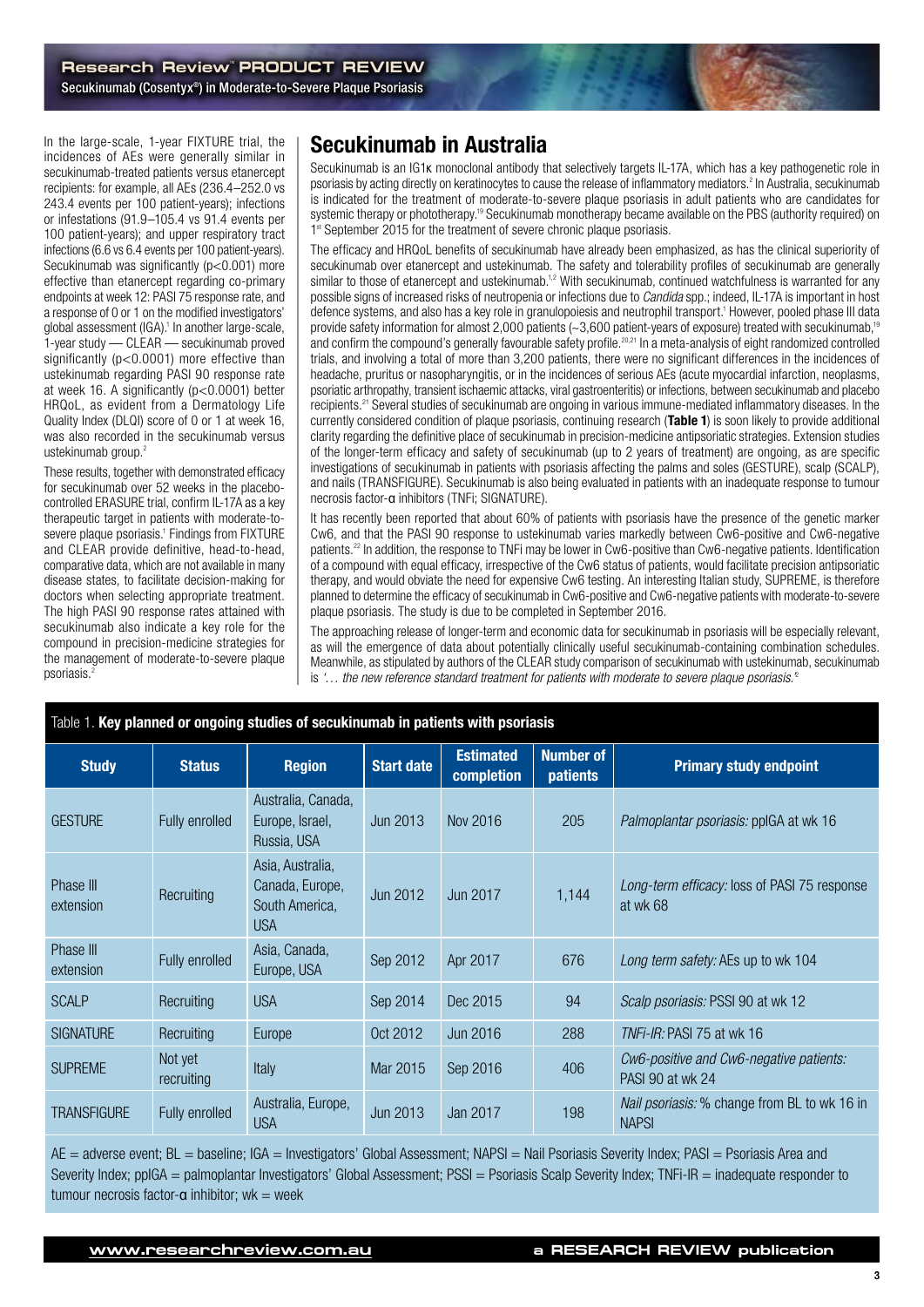In the large-scale, 1-year FIXTURE trial, the incidences of AEs were generally similar in secukinumab-treated patients versus etanercept recipients: for example, all AEs (236.4–252.0 vs 243.4 events per 100 patient-years); infections or infestations (91.9–105.4 vs 91.4 events per 100 patient-years); and upper respiratory tract infections (6.6 vs 6.4 events per 100 patient-years). Secukinumab was significantly (p<0.001) more effective than etanercept regarding co-primary endpoints at week 12: PASI 75 response rate, and a response of 0 or 1 on the modified investigators' global assessment (IGA).<sup>1</sup> In another large-scale, 1-year study — CLEAR — secukinumab proved significantly (p<0.0001) more effective than ustekinumab regarding PASI 90 response rate at week 16. A significantly (p<0.0001) better HRQoL, as evident from a Dermatology Life Quality Index (DLQI) score of 0 or 1 at week 16, was also recorded in the secukinumab versus ustekinumab group.<sup>2</sup>

These results, together with demonstrated efficacy for secukinumab over 52 weeks in the placebocontrolled ERASURE trial, confirm IL-17A as a key therapeutic target in patients with moderate-tosevere plaque psoriasis.<sup>1</sup> Findings from FIXTURE and CLEAR provide definitive, head-to-head, comparative data, which are not available in many disease states, to facilitate decision-making for doctors when selecting appropriate treatment. The high PASI 90 response rates attained with secukinumab also indicate a key role for the compound in precision-medicine strategies for the management of moderate-to-severe plaque psoriasis.<sup>2</sup>

# Secukinumab in Australia

Secukinumab is an IG1κ monoclonal antibody that selectively targets IL-17A, which has a key pathogenetic role in psoriasis by acting directly on keratinocytes to cause the release of inflammatory mediators.<sup>2</sup> In Australia, secukinumab is indicated for the treatment of moderate-to-severe plaque psoriasis in adult patients who are candidates for systemic therapy or phototherapy.<sup>19</sup> Secukinumab monotherapy became available on the PBS (authority required) on 1st September 2015 for the treatment of severe chronic plaque psoriasis.

The efficacy and HRQoL benefits of secukinumab have already been emphasized, as has the clinical superiority of secukinumab over etanercept and ustekinumab. The safety and tolerability profiles of secukinumab are generally similar to those of etanercept and ustekinumab.<sup>1,2</sup> With secukinumab, continued watchfulness is warranted for any possible signs of increased risks of neutropenia or infections due to *Candida* spp.; indeed, IL-17A is important in host defence systems, and also has a key role in granulopoiesis and neutrophil transport.<sup>1</sup> However, pooled phase III data provide safety information for almost 2,000 patients (~3,600 patient-years of exposure) treated with secukinumab,<sup>19</sup> and confirm the compound's generally favourable safety profile.<sup>20,21</sup> In a meta-analysis of eight randomized controlled trials, and involving a total of more than 3,200 patients, there were no significant differences in the incidences of headache, pruritus or nasopharyngitis, or in the incidences of serious AEs (acute myocardial infarction, neoplasms, psoriatic arthropathy, transient ischaemic attacks, viral gastroenteritis) or infections, between secukinumab and placebo recipients.<sup>21</sup> Several studies of secukinumab are ongoing in various immune-mediated inflammatory diseases. In the currently considered condition of plaque psoriasis, continuing research (Table 1) is soon likely to provide additional clarity regarding the definitive place of secukinumab in precision-medicine antipsoriatic strategies. Extension studies of the longer-term efficacy and safety of secukinumab (up to 2 years of treatment) are ongoing, as are specific investigations of secukinumab in patients with psoriasis affecting the palms and soles (GESTURE), scalp (SCALP), and nails (TRANSFIGURE). Secukinumab is also being evaluated in patients with an inadequate response to tumour necrosis factor-α inhibitors (TNFi; SIGNATURE).

It has recently been reported that about 60% of patients with psoriasis have the presence of the genetic marker Cw6, and that the PASI 90 response to ustekinumab varies markedly between Cw6-positive and Cw6-negative patients.<sup>22</sup> In addition, the response to TNFi may be lower in Cw6-positive than Cw6-negative patients. Identification of a compound with equal efficacy, irrespective of the Cw6 status of patients, would facilitate precision antipsoriatic therapy, and would obviate the need for expensive Cw6 testing. An interesting Italian study, SUPREME, is therefore planned to determine the efficacy of secukinumab in Cw6-positive and Cw6-negative patients with moderate-to-severe plaque psoriasis. The study is due to be completed in September 2016.

The approaching release of longer-term and economic data for secukinumab in psoriasis will be especially relevant, as will the emergence of data about potentially clinically useful secukinumab-containing combination schedules. Meanwhile, as stipulated by authors of the CLEAR study comparison of secukinumab with ustekinumab, secukinumab is *'… the new reference standard treatment for patients with moderate to severe plaque psoriasis.'*<sup>2</sup>

|                        |                       | Table 1. Key planned or ongoing studies of secukinumab in patients with psoriasis |                   |                                |                              |                                                              |
|------------------------|-----------------------|-----------------------------------------------------------------------------------|-------------------|--------------------------------|------------------------------|--------------------------------------------------------------|
| <b>Study</b>           | <b>Status</b>         | <b>Region</b>                                                                     | <b>Start date</b> | <b>Estimated</b><br>completion | <b>Number of</b><br>patients | <b>Primary study endpoint</b>                                |
| <b>GESTURE</b>         | Fully enrolled        | Australia, Canada,<br>Europe, Israel,<br>Russia, USA                              | <b>Jun 2013</b>   | Nov 2016                       | 205                          | Palmoplantar psoriasis: pplGA at wk 16                       |
| Phase III<br>extension | Recruiting            | Asia, Australia,<br>Canada, Europe,<br>South America,<br><b>USA</b>               | <b>Jun 2012</b>   | <b>Jun 2017</b>                | 1,144                        | Long-term efficacy: loss of PASI 75 response<br>at wk 68     |
| Phase III<br>extension | Fully enrolled        | Asia, Canada,<br>Europe, USA                                                      | Sep 2012          | Apr 2017                       | 676                          | Long term safety: AEs up to wk 104                           |
| <b>SCALP</b>           | Recruiting            | <b>USA</b>                                                                        | Sep 2014          | Dec 2015                       | 94                           | Scalp psoriasis: PSSI 90 at wk 12                            |
| <b>SIGNATURE</b>       | Recruiting            | Europe                                                                            | Oct 2012          | <b>Jun 2016</b>                | 288                          | TNFi-IR: PASI 75 at wk 16                                    |
| <b>SUPREME</b>         | Not yet<br>recruiting | Italy                                                                             | Mar 2015          | Sep 2016                       | 406                          | Cw6-positive and Cw6-negative patients:<br>PASI 90 at wk 24  |
| <b>TRANSFIGURE</b>     | Fully enrolled        | Australia, Europe,<br><b>USA</b>                                                  | Jun 2013          | Jan 2017                       | 198                          | Nail psoriasis: % change from BL to wk 16 in<br><b>NAPSI</b> |

AE = adverse event; BL = baseline; IGA = Investigators' Global Assessment; NAPSI = Nail Psoriasis Severity Index; PASI = Psoriasis Area and Severity Index; ppIGA = palmoplantar Investigators' Global Assessment; PSSI = Psoriasis Scalp Severity Index; TNFi-IR = inadequate responder to tumour necrosis factor- $\alpha$  inhibitor; wk = week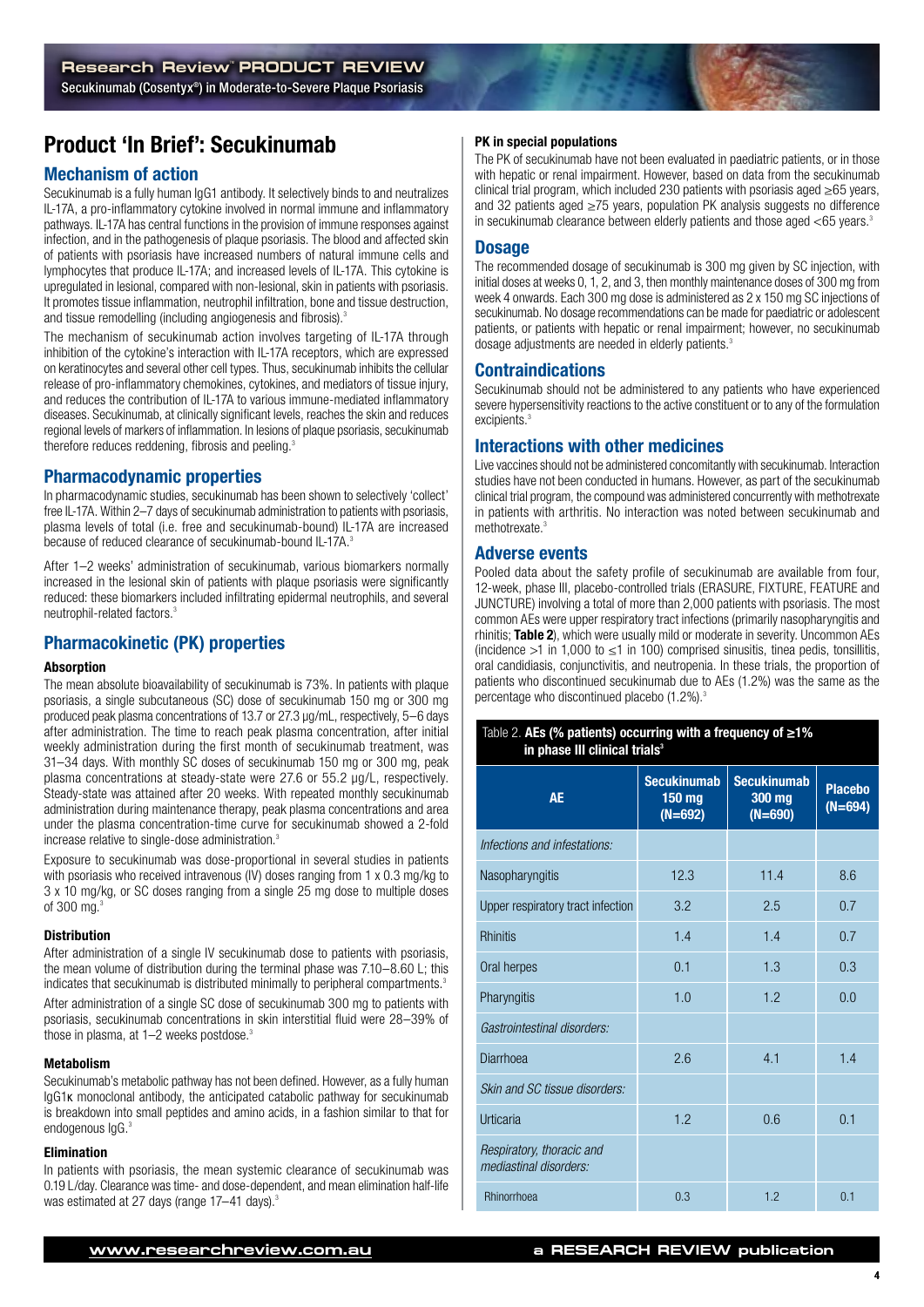# Product 'In Brief': Secukinumab

## Mechanism of action

Secukinumab is a fully human IgG1 antibody. It selectively binds to and neutralizes IL-17A, a pro-inflammatory cytokine involved in normal immune and inflammatory pathways. IL-17A has central functions in the provision of immune responses against infection, and in the pathogenesis of plaque psoriasis. The blood and affected skin of patients with psoriasis have increased numbers of natural immune cells and lymphocytes that produce IL-17A; and increased levels of IL-17A. This cytokine is upregulated in lesional, compared with non-lesional, skin in patients with psoriasis. It promotes tissue inflammation, neutrophil infiltration, bone and tissue destruction, and tissue remodelling (including angiogenesis and fibrosis).<sup>3</sup>

The mechanism of secukinumab action involves targeting of IL-17A through inhibition of the cytokine's interaction with IL-17A receptors, which are expressed on keratinocytes and several other cell types. Thus, secukinumab inhibits the cellular release of pro-inflammatory chemokines, cytokines, and mediators of tissue injury, and reduces the contribution of IL-17A to various immune-mediated inflammatory diseases. Secukinumab, at clinically significant levels, reaches the skin and reduces regional levels of markers of inflammation. In lesions of plaque psoriasis, secukinumab therefore reduces reddening, fibrosis and peeling.<sup>3</sup>

## Pharmacodynamic properties

In pharmacodynamic studies, secukinumab has been shown to selectively 'collect' free IL-17A. Within 2–7 days of secukinumab administration to patients with psoriasis, plasma levels of total (i.e. free and secukinumab-bound) IL-17A are increased because of reduced clearance of secukinumab-bound IL-17A.<sup>3</sup>

After 1–2 weeks' administration of secukinumab, various biomarkers normally increased in the lesional skin of patients with plaque psoriasis were significantly reduced: these biomarkers included infiltrating epidermal neutrophils, and several neutrophil-related factors.3

# Pharmacokinetic (PK) properties

#### Absorption

The mean absolute bioavailability of secukinumab is 73%. In patients with plaque psoriasis, a single subcutaneous (SC) dose of secukinumab 150 mg or 300 mg produced peak plasma concentrations of 13.7 or 27.3 µg/mL, respectively, 5–6 days after administration. The time to reach peak plasma concentration, after initial weekly administration during the first month of secukinumab treatment, was 31–34 days. With monthly SC doses of secukinumab 150 mg or 300 mg, peak plasma concentrations at steady-state were 27.6 or 55.2 µg/L, respectively. Steady-state was attained after 20 weeks. With repeated monthly secukinumab administration during maintenance therapy, peak plasma concentrations and area under the plasma concentration-time curve for secukinumab showed a 2-fold increase relative to single-dose administration.<sup>3</sup>

Exposure to secukinumab was dose-proportional in several studies in patients with psoriasis who received intravenous (IV) doses ranging from 1 x 0.3 mg/kg to 3 x 10 mg/kg, or SC doses ranging from a single 25 mg dose to multiple doses of 300 mg. $\frac{3}{3}$ 

#### **Distribution**

After administration of a single IV secukinumab dose to patients with psoriasis, the mean volume of distribution during the terminal phase was 7.10–8.60 L; this indicates that secukinumab is distributed minimally to peripheral compartments.<sup>3</sup>

After administration of a single SC dose of secukinumab 300 mg to patients with psoriasis, secukinumab concentrations in skin interstitial fluid were 28–39% of those in plasma, at  $1-2$  weeks postdose.<sup>3</sup>

#### Metabolism

Secukinumab's metabolic pathway has not been defined. However, as a fully human IgG1κ monoclonal antibody, the anticipated catabolic pathway for secukinumab is breakdown into small peptides and amino acids, in a fashion similar to that for endogenous laG.<sup>3</sup>

#### Elimination

In patients with psoriasis, the mean systemic clearance of secukinumab was 0.19 L/day. Clearance was time- and dose-dependent, and mean elimination half-life was estimated at 27 days (range 17–41 days).<sup>3</sup>

#### PK in special populations

The PK of secukinumab have not been evaluated in paediatric patients, or in those with hepatic or renal impairment. However, based on data from the secukinumab clinical trial program, which included 230 patients with psoriasis aged ≥65 years, and 32 patients aged ≥75 years, population PK analysis suggests no difference in secukinumab clearance between elderly patients and those aged  $<65$  years.<sup>3</sup>

#### **Dosage**

The recommended dosage of secukinumab is 300 mg given by SC injection, with initial doses at weeks 0, 1, 2, and 3, then monthly maintenance doses of 300 mg from week 4 onwards. Each 300 mg dose is administered as 2 x 150 mg SC injections of secukinumab. No dosage recommendations can be made for paediatric or adolescent patients, or patients with hepatic or renal impairment; however, no secukinumab dosage adjustments are needed in elderly patients.<sup>3</sup>

## Contraindications

Secukinumab should not be administered to any patients who have experienced severe hypersensitivity reactions to the active constituent or to any of the formulation excipients.<sup>3</sup>

## Interactions with other medicines

Live vaccines should not be administered concomitantly with secukinumab. Interaction studies have not been conducted in humans. However, as part of the secukinumab clinical trial program, the compound was administered concurrently with methotrexate in patients with arthritis. No interaction was noted between secukinumab and methotrexate.<sup>3</sup>

#### Adverse events

Pooled data about the safety profile of secukinumab are available from four, 12-week, phase III, placebo-controlled trials (ERASURE, FIXTURE, FEATURE and JUNCTURE) involving a total of more than 2,000 patients with psoriasis. The most common AEs were upper respiratory tract infections (primarily nasopharyngitis and rhinitis; Table 2), which were usually mild or moderate in severity. Uncommon AEs (incidence  $>1$  in 1,000 to  $\leq$ 1 in 100) comprised sinusitis, tinea pedis, tonsillitis, oral candidiasis, conjunctivitis, and neutropenia. In these trials, the proportion of patients who discontinued secukinumab due to AEs (1.2%) was the same as the percentage who discontinued placebo (1.2%).<sup>3</sup>

# Table 2. AEs (% patients) occurring with a frequency of ≥1% in phase III clinical trials<sup>3</sup>

| <b>AE</b>                                           | <b>Secukinumab</b><br>150 mg<br>$(N=692)$ | <b>Secukinumab</b><br>300 mg<br>$(N=690)$ | <b>Placebo</b><br>$(N=694)$ |
|-----------------------------------------------------|-------------------------------------------|-------------------------------------------|-----------------------------|
| Infections and infestations:                        |                                           |                                           |                             |
| Nasopharyngitis                                     | 12.3                                      | 11.4                                      | 8.6                         |
| Upper respiratory tract infection                   | 3.2                                       | 2.5                                       | 0.7                         |
| <b>Rhinitis</b>                                     | 1.4                                       | 1.4                                       | 0.7                         |
| Oral herpes                                         | 0.1                                       | 1.3                                       | 0.3                         |
| Pharyngitis                                         | 1.0                                       | 1.2                                       | 0.0                         |
| Gastrointestinal disorders:                         |                                           |                                           |                             |
| Diarrhoea                                           | 2.6                                       | 4.1                                       | 1.4                         |
| Skin and SC tissue disorders:                       |                                           |                                           |                             |
| Urticaria                                           | 1.2                                       | 0.6                                       | 0.1                         |
| Respiratory, thoracic and<br>mediastinal disorders: |                                           |                                           |                             |
| Rhinorrhoea                                         | 0.3                                       | 1.2                                       | 0.1                         |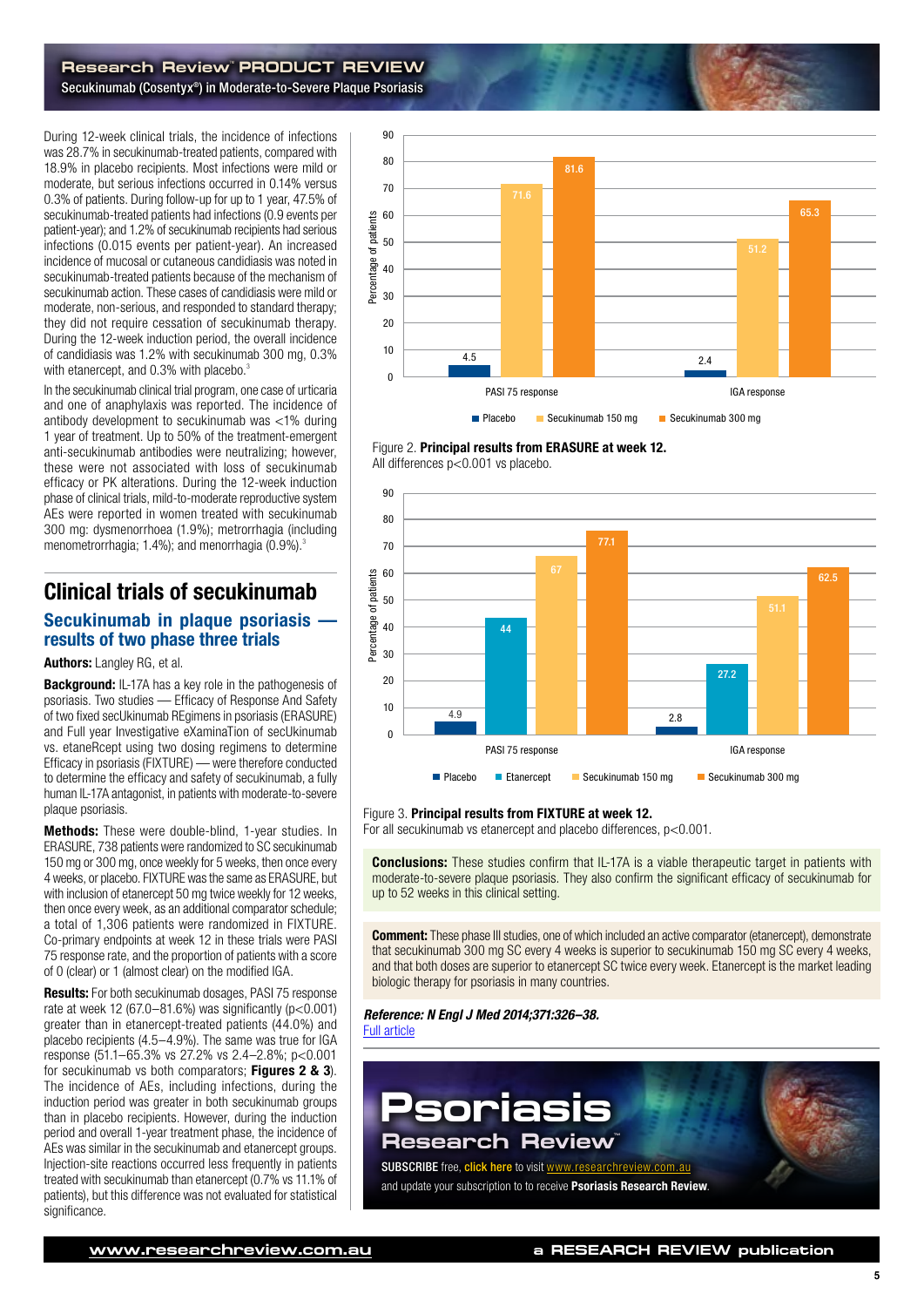#### **Research Review**TM **PRODUCT REVIEW** l

Secukinumab (Cosentyx®) in Moderate-to-Severe Plaque Psoriasis

During 12-week clinical trials, the incidence of infections was 28.7% in secukinumab-treated patients, compared with 18.9% in placebo recipients. Most infections were mild or moderate, but serious infections occurred in 0.14% versus 0.3% of patients. During follow-up for up to 1 year, 47.5% of secukinumab-treated patients had infections (0.9 events per patient-year); and 1.2% of secukinumab recipients had serious infections (0.015 events per patient-year). An increased incidence of mucosal or cutaneous candidiasis was noted in secukinumab-treated patients because of the mechanism of secukinumab action. These cases of candidiasis were mild or moderate, non-serious, and responded to standard therapy; they did not require cessation of secukinumab therapy. During the 12-week induction period, the overall incidence of candidiasis was 1.2% with secukinumab 300 mg, 0.3% with etanercept, and 0.3% with placebo.<sup>3</sup>

In the secukinumab clinical trial program, one case of urticaria and one of anaphylaxis was reported. The incidence of antibody development to secukinumab was <1% during 1 year of treatment. Up to 50% of the treatment-emergent anti-secukinumab antibodies were neutralizing; however, these were not associated with loss of secukinumab efficacy or PK alterations. During the 12-week induction phase of clinical trials, mild-to-moderate reproductive system AEs were reported in women treated with secukinumab 300 mg: dysmenorrhoea (1.9%); metrorrhagia (including menometrorrhagia; 1.4%); and menorrhagia (0.9%).<sup>3</sup>

# Clinical trials of secukinumab

# Secukinumab in plaque psoriasis results of two phase three trials

#### Authors: Langley RG, et al.

Background: IL-17A has a key role in the pathogenesis of psoriasis. Two studies — Efficacy of Response And Safety of two fixed secUkinumab REgimens in psoriasis (ERASURE) and Full year Investigative eXaminaTion of secUkinumab vs. etaneRcept using two dosing regimens to determine Efficacy in psoriasis (FIXTURE) — were therefore conducted to determine the efficacy and safety of secukinumab, a fully human IL-17A antagonist, in patients with moderate-to-severe plaque psoriasis.

Methods: These were double-blind, 1-year studies. In ERASURE, 738 patients were randomized to SC secukinumab 150 mg or 300 mg, once weekly for 5 weeks, then once every 4 weeks, or placebo. FIXTURE was the same as ERASURE, but with inclusion of etanercept 50 mg twice weekly for 12 weeks. then once every week, as an additional comparator schedule; a total of 1,306 patients were randomized in FIXTURE. Co-primary endpoints at week 12 in these trials were PASI 75 response rate, and the proportion of patients with a score of 0 (clear) or 1 (almost clear) on the modified IGA.

Results: For both secukinumab dosages, PASI 75 response rate at week 12 (67.0–81.6%) was significantly ( $p < 0.001$ ) greater than in etanercept-treated patients (44.0%) and placebo recipients (4.5–4.9%). The same was true for IGA response (51.1–65.3% vs 27.2% vs 2.4–2.8%; p<0.001 for secukinumab vs both comparators; Figures 2 & 3). The incidence of AEs, including infections, during the induction period was greater in both secukinumab groups than in placebo recipients. However, during the induction period and overall 1-year treatment phase, the incidence of AEs was similar in the secukinumab and etanercept groups. Injection-site reactions occurred less frequently in patients treated with secukinumab than etanercept (0.7% vs 11.1% of patients), but this difference was not evaluated for statistical significance.



Figure 2. Principal results from ERASURE at week 12.

All differences p<0.001 vs placebo.



#### Figure 3. Principal results from FIXTURE at week 12.

For all secukinumab vs etanercept and placebo differences,  $p<0.001$ .

**Conclusions:** These studies confirm that IL-17A is a viable therapeutic target in patients with moderate-to-severe plaque psoriasis. They also confirm the significant efficacy of secukinumab for up to 52 weeks in this clinical setting.

**Comment:** These phase III studies, one of which included an active comparator (etanercept), demonstrate that secukinumab 300 mg SC every 4 weeks is superior to secukinumab 150 mg SC every 4 weeks, and that both doses are superior to etanercept SC twice every week. Etanercept is the market leading biologic therapy for psoriasis in many countries.

*Reference: N Engl J Med 2014;371:326–38.*

[Full article](http://www.nejm.org/doi/pdf/10.1056/NEJMoa1314258)



SUBSCRIBE free, click here to visit www.researchreview.com [and update your subscription to to receive](http://www.researchreview.com.au) Psoriasis Research Review.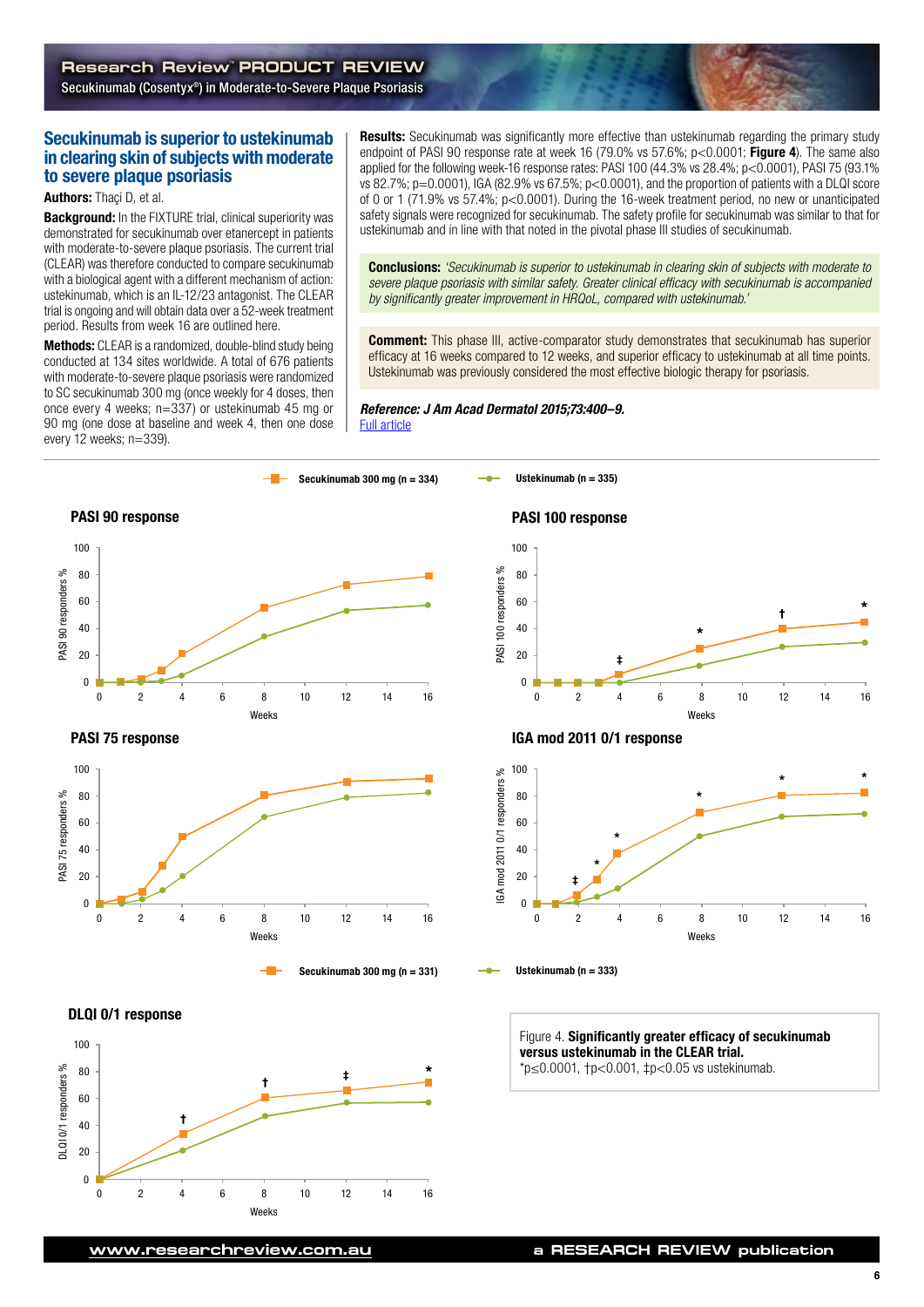#### **Research Review**TM **PRODUCT REVIEW** l Secukinumab (Cosentyx®) in Moderate-to-Severe Plaque Psoriasis

#### Secukinumab is superior to ustekinumab in clearing skin of subjects with moderate to severe plaque psoriasis

Authors: Thaci D, et al.

**Background:** In the FIXTURE trial, clinical superiority was demonstrated for secukinumab over etanercept in patients with moderate-to-severe plaque psoriasis. The current trial (CLEAR) was therefore conducted to compare secukinumab with a biological agent with a different mechanism of action: ustekinumab, which is an IL-12/23 antagonist. The CLEAR trial is ongoing and will obtain data over a 52-week treatment period. Results from week 16 are outlined here.

Methods: CLEAR is a randomized, double-blind study being conducted at 134 sites worldwide. A total of 676 patients with moderate-to-severe plaque psoriasis were randomized to SC secukinumab 300 mg (once weekly for 4 doses, then once every 4 weeks; n=337) or ustekinumab 45 mg or 90 mg (one dose at baseline and week 4, then one dose every 12 weeks; n=339).

Results: Secukinumab was significantly more effective than ustekinumab regarding the primary study endpoint of PASI 90 response rate at week 16 (79.0% vs 57.6%;  $p<0.0001$ ; Figure 4). The same also applied for the following week-16 response rates: PASI 100 (44.3% vs 28.4%; p<0.0001), PASI 75 (93.1% vs 82.7%; p=0.0001), IGA (82.9% vs 67.5%; p<0.0001), and the proportion of patients with a DLQI score of 0 or 1 (71.9% vs 57.4%; p<0.0001). During the 16-week treatment period, no new or unanticipated safety signals were recognized for secukinumab. The safety profile for secukinumab was similar to that for ustekinumab and in line with that noted in the pivotal phase III studies of secukinumab.

Conclusions: *'Secukinumab is superior to ustekinumab in clearing skin of subjects with moderate to severe plaque psoriasis with similar safety. Greater clinical efficacy with secukinumab is accompanied by significantly greater improvement in HRQoL, compared with ustekinumab.'*

**Comment:** This phase III, active-comparator study demonstrates that secukinumab has superior efficacy at 16 weeks compared to 12 weeks, and superior efficacy to ustekinumab at all time points. Ustekinumab was previously considered the most effective biologic therapy for psoriasis.

*Reference: J Am Acad Dermatol 2015;73:400–9.* [Full article](http://www.jaad.org/article/S0190-9622(15)01683-7/pdf)











Figure 4. Significantly greater efficacy of secukinumab versus ustekinumab in the CLEAR trial. \*p≤0.0001, †p<0.001, ‡p<0.05 vs ustekinumab.